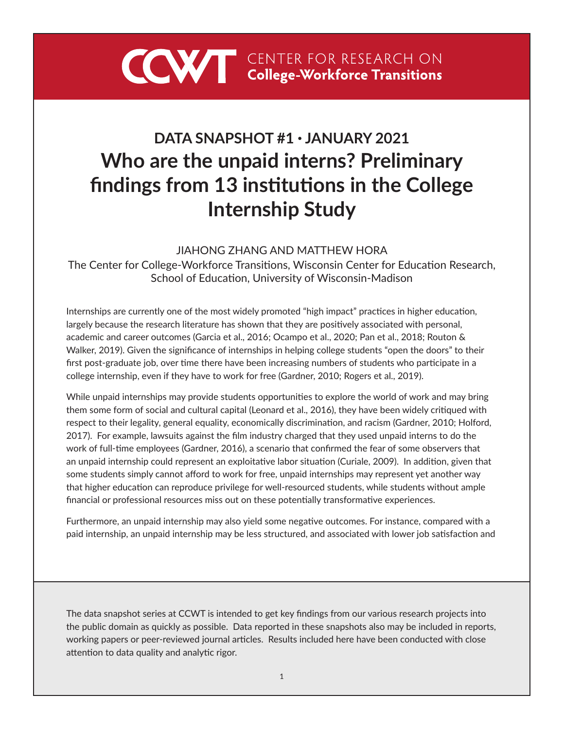

# **DATA SNAPSHOT #1 • JANUARY 2021 Who are the unpaid interns? Preliminary findings from 13 institutions in the College Internship Study**

### JIAHONG ZHANG AND MATTHEW HORA

The Center for College-Workforce Transitions, Wisconsin Center for Education Research, School of Education, University of Wisconsin-Madison

Internships are currently one of the most widely promoted "high impact" practices in higher education, largely because the research literature has shown that they are positively associated with personal, academic and career outcomes (Garcia et al., 2016; Ocampo et al., 2020; Pan et al., 2018; Routon & Walker, 2019). Given the significance of internships in helping college students "open the doors" to their first post-graduate job, over time there have been increasing numbers of students who participate in a college internship, even if they have to work for free (Gardner, 2010; Rogers et al., 2019).

While unpaid internships may provide students opportunities to explore the world of work and may bring them some form of social and cultural capital (Leonard et al., 2016), they have been widely critiqued with respect to their legality, general equality, economically discrimination, and racism (Gardner, 2010; Holford, 2017). For example, lawsuits against the film industry charged that they used unpaid interns to do the work of full-time employees (Gardner, 2016), a scenario that confirmed the fear of some observers that an unpaid internship could represent an exploitative labor situation (Curiale, 2009). In addition, given that some students simply cannot afford to work for free, unpaid internships may represent yet another way that higher education can reproduce privilege for well-resourced students, while students without ample financial or professional resources miss out on these potentially transformative experiences.

Furthermore, an unpaid internship may also yield some negative outcomes. For instance, compared with a paid internship, an unpaid internship may be less structured, and associated with lower job satisfaction and

The data snapshot series at CCWT is intended to get key findings from our various research projects into the public domain as quickly as possible. Data reported in these snapshots also may be included in reports, working papers or peer-reviewed journal articles. Results included here have been conducted with close attention to data quality and analytic rigor.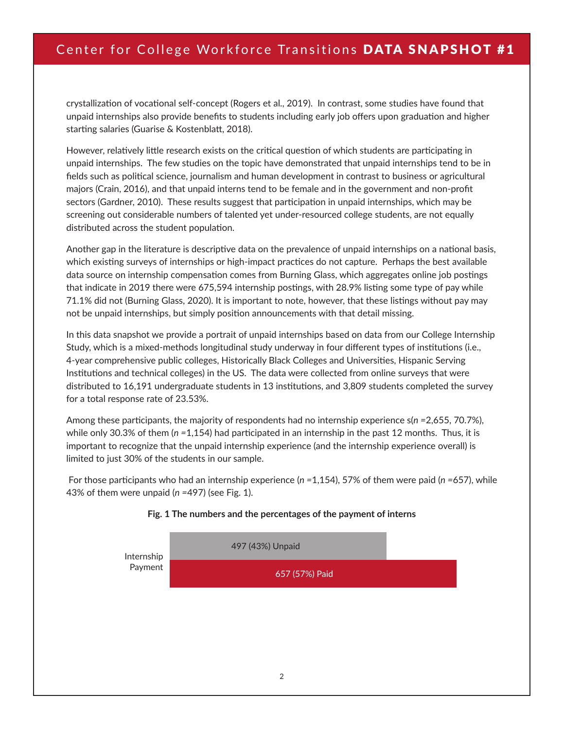## Center for College Workforce Transitions DATA SNAPSHOT #1

crystallization of vocational self-concept (Rogers et al., 2019). In contrast, some studies have found that unpaid internships also provide benefits to students including early job offers upon graduation and higher starting salaries (Guarise & Kostenblatt, 2018).

However, relatively little research exists on the critical question of which students are participating in unpaid internships. The few studies on the topic have demonstrated that unpaid internships tend to be in fields such as political science, journalism and human development in contrast to business or agricultural majors (Crain, 2016), and that unpaid interns tend to be female and in the government and non-profit sectors (Gardner, 2010). These results suggest that participation in unpaid internships, which may be screening out considerable numbers of talented yet under-resourced college students, are not equally distributed across the student population.

Another gap in the literature is descriptive data on the prevalence of unpaid internships on a national basis, which existing surveys of internships or high-impact practices do not capture. Perhaps the best available data source on internship compensation comes from Burning Glass, which aggregates online job postings that indicate in 2019 there were 675,594 internship postings, with 28.9% listing some type of pay while 71.1% did not (Burning Glass, 2020). It is important to note, however, that these listings without pay may not be unpaid internships, but simply position announcements with that detail missing.

In this data snapshot we provide a portrait of unpaid internships based on data from our College Internship Study, which is a mixed-methods longitudinal study underway in four different types of institutions (i.e., 4-year comprehensive public colleges, Historically Black Colleges and Universities, Hispanic Serving Institutions and technical colleges) in the US. The data were collected from online surveys that were distributed to 16,191 undergraduate students in 13 institutions, and 3,809 students completed the survey for a total response rate of 23.53%.

Among these participants, the majority of respondents had no internship experience s(*n =*2,655, 70.7%), while only 30.3% of them (*n =*1,154) had participated in an internship in the past 12 months. Thus, it is important to recognize that the unpaid internship experience (and the internship experience overall) is limited to just 30% of the students in our sample.

 For those participants who had an internship experience (*n =*1,154), 57% of them were paid (*n =*657), while 43% of them were unpaid (*n =*497) (see Fig. 1).



#### **Fig. 1 The numbers and the percentages of the payment of interns**

Non-profit organization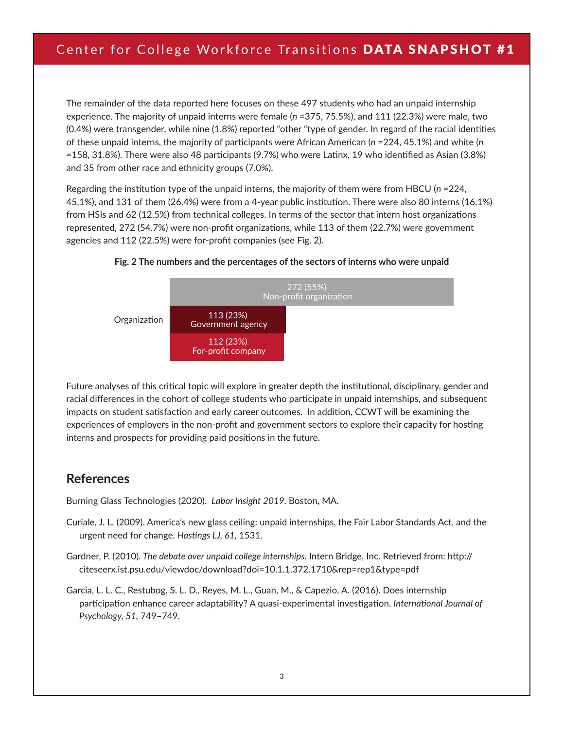# Center for College Workforce Transitions DATA SNAPSHOT #1

The remainder of the data reported here focuses on these 497 students who had an unpaid internship experience. The majority of unpaid interns were female (*n =*375, 75.5%), and 111 (22.3%) were male, two (0.4%) were transgender, while nine (1.8%) reported "other "type of gender. In regard of the racial identities of these unpaid interns, the majority of participants were African American (*n =*224, 45.1%) and white (*n*  =158, 31.8%). There were also 48 participants (9.7%) who were Latinx, 19 who identified as Asian (3.8%) and 35 from other race and ethnicity groups (7.0%).  $\frac{49}{10}$  (a  $\frac{49}{10}$ ) United States

Regarding the institution type of the unpaid interns, the majority of them were from HBCU (*n =*224, 45.1%), and 131 of them (26.4%) were from a 4-year public institution. There were also 80 interns (16.1%) from HSIs and 62 (12.5%) from technical colleges. In terms of the sector that intern host organizations represented, 272 (54.7%) were non-profit organizations, while 113 of them (22.7%) were government agencies and 112 (22.5%) were for-profit companies (see Fig. 2).





Future analyses of this critical topic will explore in greater depth the institutional, disciplinary, gender and racial differences in the cohort of college students who participate in unpaid internships, and subsequent impacts on student satisfaction and early career outcomes. In addition, CCWT will be examining the experiences of employers in the non-profit and government sectors to explore their capacity for hosting interns and prospects for providing paid positions in the future.

### **References**

Burning Glass Technologies (2020). *Labor Insight 2019.* Boston, MA.

- Curiale, J. L. (2009). America's new glass ceiling: unpaid internships, the Fair Labor Standards Act, and the urgent need for change. *Hastings LJ, 61,* 1531.
- Gardner, P. (2010). *The debate over unpaid college internships.* Intern Bridge, Inc. Retrieved from: http:// citeseerx.ist.psu.edu/viewdoc/download?doi=10.1.1.372.1710&rep=rep1&type=pdf
- Garcia, L. L. C., Restubog, S. L. D., Reyes, M. L., Guan, M., & Capezio, A. (2016). Does internship participation enhance career adaptability? A quasi-experimental investigation. *International Journal of Psychology, 51,* 749–749.